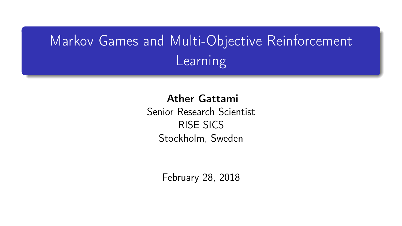# Markov Games and Multi-Objective Reinforcement **Learning**

Ather Gattami

Senior Research Scientist RISE SICS Stockholm, Sweden

February 28, 2018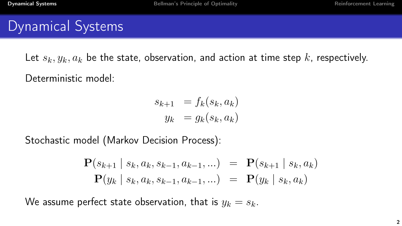## <span id="page-1-0"></span>Dynamical Systems

Let  $s_k, y_k, a_k$  be the state, observation, and action at time step k, respectively. Deterministic model:

$$
s_{k+1} = f_k(s_k, a_k)
$$
  

$$
y_k = g_k(s_k, a_k)
$$

Stochastic model (Markov Decision Process):

$$
\mathbf{P}(s_{k+1} | s_k, a_k, s_{k-1}, a_{k-1}, \ldots) = \mathbf{P}(s_{k+1} | s_k, a_k) \n\mathbf{P}(y_k | s_k, a_k, s_{k-1}, a_{k-1}, \ldots) = \mathbf{P}(y_k | s_k, a_k)
$$

We assume perfect state observation, that is  $y_k = s_k$ .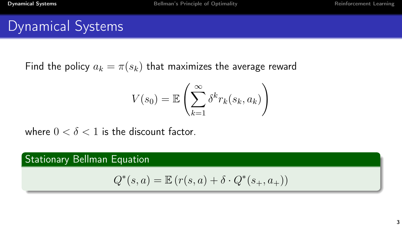### Dynamical Systems

Find the policy  $a_k = \pi(s_k)$  that maximizes the average reward

$$
V(s_0) = \mathbb{E}\left(\sum_{k=1}^{\infty} \delta^k r_k(s_k, a_k)\right)
$$

where  $0 < \delta < 1$  is the discount factor.

#### Stationary Bellman Equation

$$
Q^*(s, a) = \mathbb{E}\left(r(s, a) + \delta \cdot Q^*(s_+, a_+)\right)
$$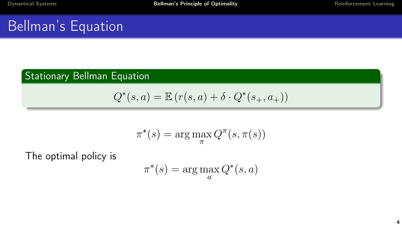## <span id="page-3-0"></span>Bellman's Equation

#### Stationary Bellman Equation

$$
Q^*(s, a) = \mathbb{E}\left(r(s, a) + \delta \cdot Q^*(s_+, a_+)\right)
$$

$$
\pi^{\star}(s) = \arg\max_{\pi} Q^{\pi}(s, \pi(s))
$$

The optimal policy is

$$
\pi^*(s) = \arg\max_a Q^*(s, a)
$$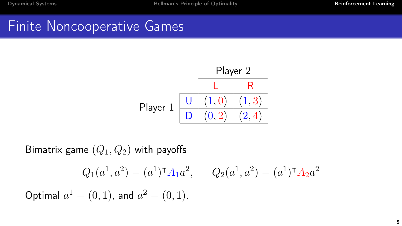## <span id="page-4-0"></span>Finite Noncooperative Games



Bimatrix game  $(Q_1, Q_2)$  with payoffs

$$
Q_1(a^1, a^2) = (a^1)^{\mathsf{T}} A_1 a^2, \qquad Q_2(a^1, a^2) = (a^1)^{\mathsf{T}} A_2 a^2
$$

Optimal  $a^1 = (0, 1)$ , and  $a^2 = (0, 1)$ .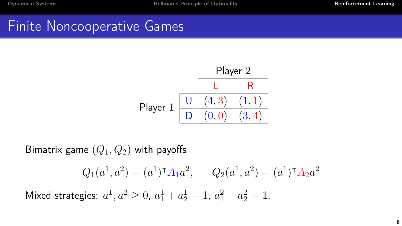## Finite Noncooperative Games



Bimatrix game  $(Q_1, Q_2)$  with payoffs

$$
Q_1(a^1, a^2) = (a^1)^{\mathsf{T}} A_1 a^2, \qquad Q_2(a^1, a^2) = (a^1)^{\mathsf{T}} A_2 a^2
$$

Mixed strategies:  $a^1, a^2 \ge 0$ ,  $a_1^1 + a_2^1 = 1$ ,  $a_1^2 + a_2^2 = 1$ .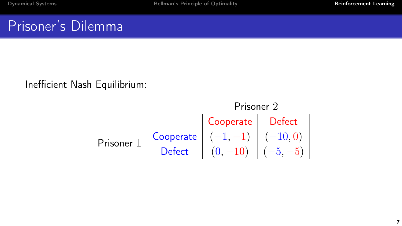## Prisoner's Dilemma

#### Inefficient Nash Equilibrium:

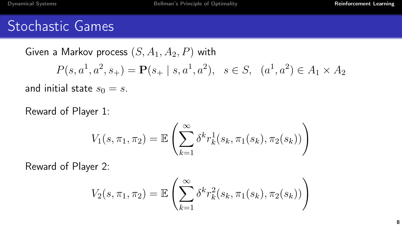### Stochastic Games

Given a Markov process  $(S, A_1, A_2, P)$  with  $P(s, a^1, a^2, s_+) = \mathbf{P}(s_+ \mid s, a^1, a^2), \ \ s \in S, \ \ (a^1, a^2) \in A_1 \times A_2$ 

and initial state  $s_0 = s$ .

Reward of Player 1:

$$
V_1(s, \pi_1, \pi_2) = \mathbb{E}\left(\sum_{k=1}^{\infty} \delta^k r_k^1(s_k, \pi_1(s_k), \pi_2(s_k))\right)
$$

Reward of Player 2:

$$
V_2(s, \pi_1, \pi_2) = \mathbb{E}\left(\sum_{k=1}^{\infty} \delta^k r_k^2(s_k, \pi_1(s_k), \pi_2(s_k))\right)
$$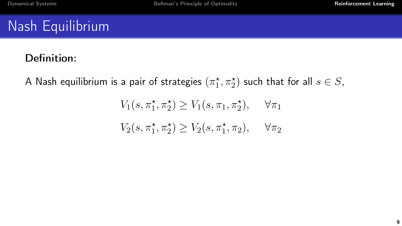# Nash Equilibrium

#### Definition:

A Nash equilibrium is a pair of strategies  $(\pi_1^\star,\pi_2^\star)$  such that for all  $s\in S,$ 

$$
V_1(s, \pi_1^{\star}, \pi_2^{\star}) \ge V_1(s, \pi_1, \pi_2^{\star}), \quad \forall \pi_1
$$
  

$$
V_2(s, \pi_1^{\star}, \pi_2^{\star}) \ge V_2(s, \pi_1^{\star}, \pi_2), \quad \forall \pi_2
$$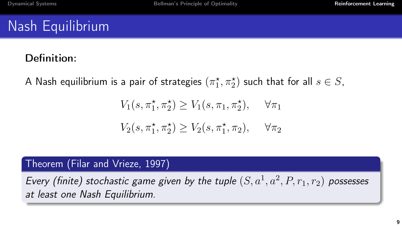# Nash Equilibrium

#### Definition:

A Nash equilibrium is a pair of strategies  $(\pi_1^\star,\pi_2^\star)$  such that for all  $s\in S,$ 

$$
V_1(s, \pi_1^*, \pi_2^*) \ge V_1(s, \pi_1, \pi_2^*), \quad \forall \pi_1
$$
  

$$
V_2(s, \pi_1^*, \pi_2^*) \ge V_2(s, \pi_1^*, \pi_2), \quad \forall \pi_2
$$

#### Theorem (Filar and Vrieze, 1997)

Every (finite) stochastic game given by the tuple  $(S, a^1, a^2, P, r_1, r_2)$  possesses at least one Nash Equilibrium.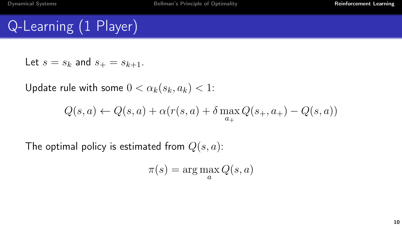# Q-Learning (1 Player)

Let  $s = s_k$  and  $s_{+} = s_{k+1}$ .

Update rule with some  $0 < \alpha_k(s_k, a_k) < 1$ :

$$
Q(s, a) \leftarrow Q(s, a) + \alpha(r(s, a) + \delta \max_{a_+} Q(s_+, a_+) - Q(s, a))
$$

The optimal policy is estimated from  $Q(s, a)$ :

$$
\pi(s) = \arg\max_{a} Q(s, a)
$$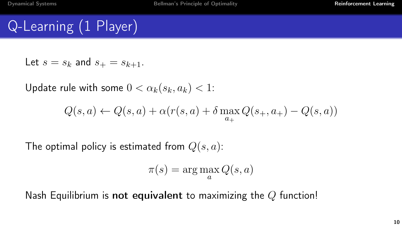# Q-Learning (1 Player)

Let  $s = s_k$  and  $s_{+} = s_{k+1}$ .

Update rule with some  $0 < \alpha_k(s_k, a_k) < 1$ :

$$
Q(s, a) \leftarrow Q(s, a) + \alpha(r(s, a) + \delta \max_{a_+} Q(s_+, a_+) - Q(s, a))
$$

The optimal policy is estimated from  $Q(s, a)$ :

$$
\pi(s) = \arg\max_{a} Q(s, a)
$$

Nash Equilibrium is not equivalent to maximizing the  $Q$  function!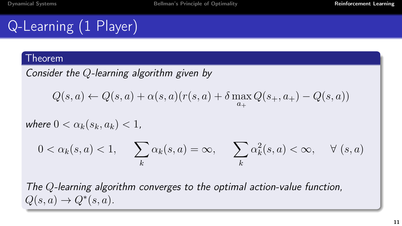# Q-Learning (1 Player)

#### Theorem

Consider the 
$$
Q
$$
-learning algorithm given by

$$
Q(s, a) \leftarrow Q(s, a) + \alpha(s, a)(r(s, a) + \delta \max_{a_+} Q(s_+, a_+) - Q(s, a))
$$

where  $0 < \alpha_k(s_k, a_k) < 1$ ,

$$
0 < \alpha_k(s, a) < 1, \qquad \sum_k \alpha_k(s, a) = \infty, \qquad \sum_k \alpha_k^2(s, a) < \infty, \qquad \forall \ (s, a)
$$

The Q-learning algorithm converges to the optimal action-value function,  $Q(s, a) \rightarrow Q^*(s, a).$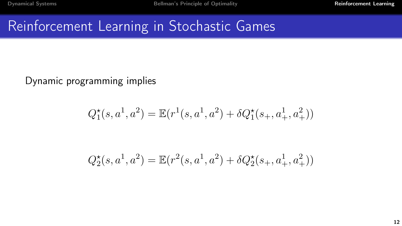# Reinforcement Learning in Stochastic Games

Dynamic programming implies

$$
Q_1^{\star}(s,a^1,a^2) = \mathbb{E}(r^1(s,a^1,a^2) + \delta Q_1^{\star}(s_+,a^1_+,a^2_+))
$$

$$
Q_2^{\star}(s, a^1, a^2) = \mathbb{E}(r^2(s, a^1, a^2) + \delta Q_2^{\star}(s_+, a^1_+, a^2_+))
$$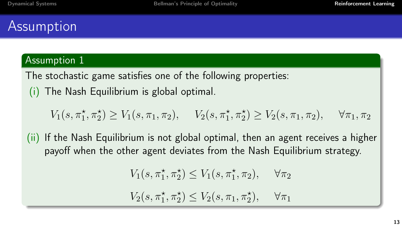## Assumption

#### Assumption 1

The stochastic game satisfies one of the following properties: (i) The Nash Equilibrium is global optimal.

 $V_1(s, \pi_1^{\star}, \pi_2^{\star}) \ge V_1(s, \pi_1, \pi_2), \quad V_2(s, \pi_1^{\star}, \pi_2^{\star}) \ge V_2(s, \pi_1, \pi_2), \quad \forall \pi_1, \pi_2$ 

(ii) If the Nash Equilibrium is not global optimal, then an agent receives a higher payoff when the other agent deviates from the Nash Equilibrium strategy.

$$
V_1(s, \pi_1^{\star}, \pi_2^{\star}) \le V_1(s, \pi_1^{\star}, \pi_2), \quad \forall \pi_2
$$

 $V_2(s, \pi_1^*, \pi_2^*) \leq V_2(s, \pi_1, \pi_2^*)$  $\forall \pi_1$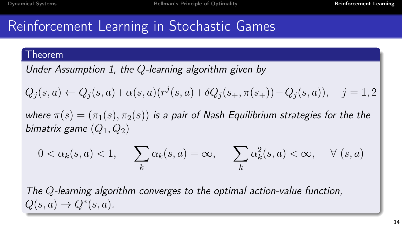## Reinforcement Learning in Stochastic Games

#### Theorem

Under Assumption 1, the Q-learning algorithm given by

$$
Q_j(s, a) \leftarrow Q_j(s, a) + \alpha(s, a)(r^j(s, a) + \delta Q_j(s_+, \pi(s_+)) - Q_j(s, a)), \quad j = 1, 2
$$

where  $\pi(s) = (\pi_1(s), \pi_2(s))$  is a pair of Nash Equilibrium strategies for the the bimatrix game  $(Q_1, Q_2)$ 

$$
0 < \alpha_k(s, a) < 1, \qquad \sum_k \alpha_k(s, a) = \infty, \qquad \sum_k \alpha_k^2(s, a) < \infty, \qquad \forall \ (s, a)
$$

The Q-learning algorithm converges to the optimal action-value function,  $Q(s, a) \rightarrow Q^*(s, a).$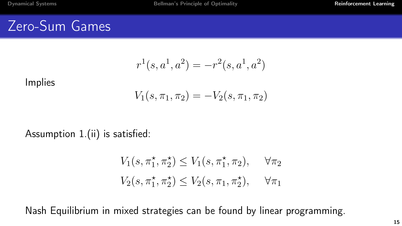#### Zero-Sum Games

$$
r^1(s, a^1, a^2) = -r^2(s, a^1, a^2)
$$

Implies

$$
V_1(s, \pi_1, \pi_2) = -V_2(s, \pi_1, \pi_2)
$$

#### Assumption 1.(ii) is satisfied:

$$
V_1(s, \pi_1^*, \pi_2^*) \le V_1(s, \pi_1^*, \pi_2), \quad \forall \pi_2
$$
  

$$
V_2(s, \pi_1^*, \pi_2^*) \le V_2(s, \pi_1, \pi_2^*), \quad \forall \pi_1
$$

Nash Equilibrium in mixed strategies can be found by linear programming.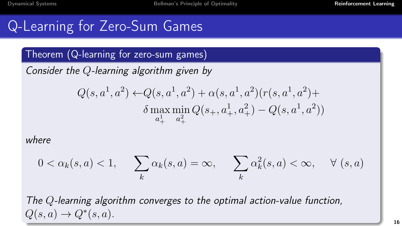## Q-Learning for Zero-Sum Games

#### Theorem (Q-learning for zero-sum games)

Consider the Q-learning algorithm given by

$$
Q(s, a^1, a^2) \leftarrow Q(s, a^1, a^2) + \alpha(s, a^1, a^2)(r(s, a^1, a^2) + \delta \max_{a_+^1} \min_{a_+^2} Q(s_+, a_+^1, a_+^2) - Q(s, a^1, a^2))
$$

where

$$
0 < \alpha_k(s, a) < 1, \qquad \sum_k \alpha_k(s, a) = \infty, \qquad \sum_k \alpha_k^2(s, a) < \infty, \qquad \forall \ (s, a)
$$

The Q-learning algorithm converges to the optimal action-value function,  $Q(s, a) \rightarrow Q^*(s, a).$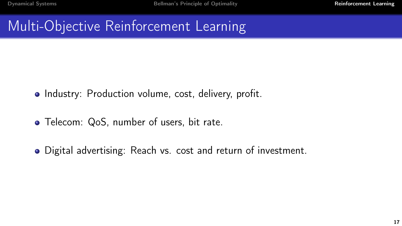- Industry: Production volume, cost, delivery, profit.
- Telecom: QoS, number of users, bit rate.
- Digital advertising: Reach vs. cost and return of investment.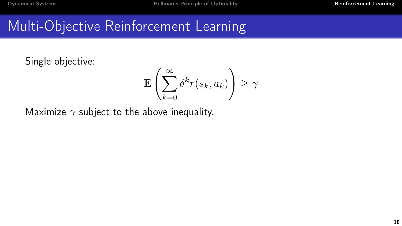Single objective:

$$
\mathbb{E}\left(\sum_{k=0}^{\infty} \delta^k r(s_k, a_k)\right) \ge \gamma
$$

Maximize  $\gamma$  subject to the above inequality.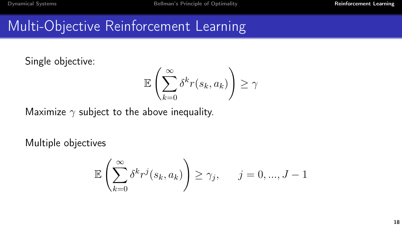Single objective:

$$
\mathbb{E}\left(\sum_{k=0}^{\infty} \delta^k r(s_k, a_k)\right) \ge \gamma
$$

Maximize  $\gamma$  subject to the above inequality.

Multiple objectives

$$
\mathbb{E}\left(\sum_{k=0}^{\infty} \delta^k r^j(s_k, a_k)\right) \geq \gamma_j, \qquad j = 0, ..., J-1
$$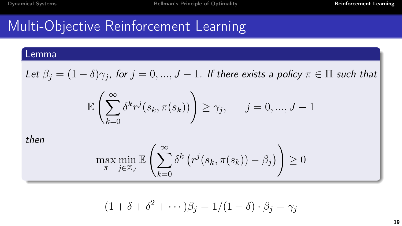#### Lemma

Let 
$$
\beta_j = (1 - \delta)\gamma_j
$$
, for  $j = 0, ..., J - 1$ . If there exists a policy  $\pi \in \Pi$  such that

$$
\mathbb{E}\left(\sum_{k=0}^{\infty} \delta^k r^j(s_k, \pi(s_k))\right) \geq \gamma_j, \quad j = 0, ..., J-1
$$

then

$$
\max_{\pi} \min_{j \in \mathbb{Z}_J} \mathbb{E}\left(\sum_{k=0}^{\infty} \delta^k \left(r^j(s_k, \pi(s_k)) - \beta_j\right)\right) \ge 0
$$

$$
(1 + \delta + \delta^2 + \cdots)\beta_j = 1/(1 - \delta) \cdot \beta_j = \gamma_j
$$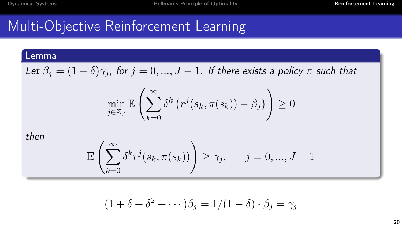#### Lemma

Let  $\beta_j = (1 - \delta)\gamma_j$ , for  $j = 0, ..., J - 1$ . If there exists a policy  $\pi$  such that

$$
\min_{j \in \mathbb{Z}_J} \mathbb{E}\left(\sum_{k=0}^{\infty} \delta^k \left(r^j(s_k, \pi(s_k)) - \beta_j\right)\right) \ge 0
$$

then

$$
\mathbb{E}\left(\sum_{k=0}^{\infty} \delta^k r^j(s_k, \pi(s_k))\right) \ge \gamma_j, \qquad j = 0, ..., J-1
$$

$$
(1 + \delta + \delta^2 + \cdots)\beta_j = 1/(1 - \delta) \cdot \beta_j = \gamma_j
$$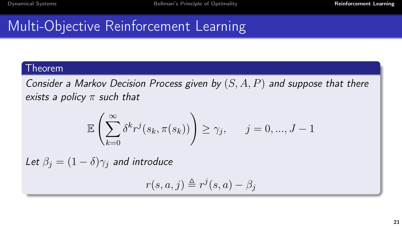#### Theorem

Consider a Markov Decision Process given by  $(S, A, P)$  and suppose that there exists a policy  $\pi$  such that

$$
\mathbb{E}\left(\sum_{k=0}^{\infty} \delta^k r^j(s_k, \pi(s_k))\right) \geq \gamma_j, \qquad j = 0, ..., J-1
$$

Let  $\beta_i = (1 - \delta)\gamma_i$  and introduce

$$
r(s, a, j) \triangleq r^{j}(s, a) - \beta_{j}
$$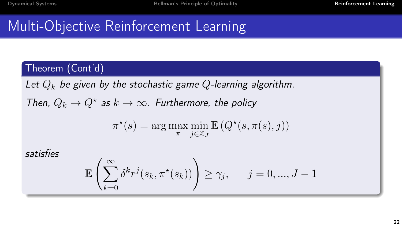#### Theorem (Cont'd)

Let  $Q_k$  be given by the stochastic game Q-learning algorithm.

Then,  $Q_k \to Q^*$  as  $k \to \infty$ . Furthermore, the policy

$$
\pi^{\star}(s) = \arg\max_{\pi} \min_{j \in \mathbb{Z}_J} \mathbb{E}\left(Q^{\star}(s, \pi(s), j)\right)
$$

satisfies

$$
\mathbb{E}\left(\sum_{k=0}^{\infty} \delta^k r^j(s_k, \pi^*(s_k))\right) \geq \gamma_j, \quad j = 0, ..., J-1
$$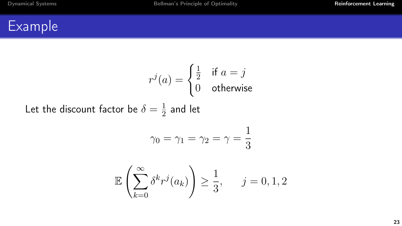Let the

$$
r^{j}(a) = \begin{cases} \frac{1}{2} & \text{if } a = j \\ 0 & \text{otherwise} \end{cases}
$$
  
discount factor be  $\delta = \frac{1}{2}$  and let  

$$
\gamma_0 = \gamma_1 = \gamma_2 = \gamma = \frac{1}{3}
$$

$$
\mathbb{E}\left(\sum_{k=0}^{\infty} \delta^k r^j(a_k)\right) \ge \frac{1}{3}, \quad j = 0, 1, 2
$$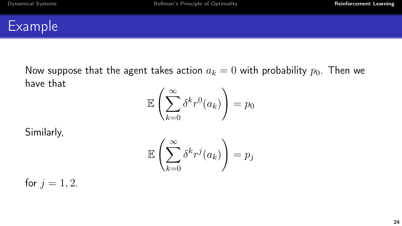Now suppose that the agent takes action  $a_k = 0$  with probability  $p_0$ . Then we have that

$$
\mathbb{E}\left(\sum_{k=0}^{\infty} \delta^k r^0(a_k)\right) = p_0
$$

Similarly,

$$
\mathbb{E}\left(\sum_{k=0}^\infty \delta^k r^j(a_k)\right) = p_j
$$

for  $j = 1, 2$ .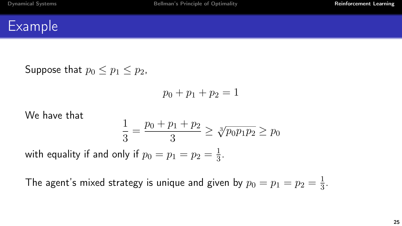Suppose that  $p_0 < p_1 < p_2$ ,

$$
p_0 + p_1 + p_2 = 1
$$

We have that

$$
\frac{1}{3} = \frac{p_0 + p_1 + p_2}{3} \ge \sqrt[3]{p_0 p_1 p_2} \ge p_0
$$

with equality if and only if  $p_0=p_1=p_2=\frac{1}{3}$  $\frac{1}{3}$ .

The agent's mixed strategy is unique and given by  $p_0=p_1=p_2=\frac{1}{3}$  $rac{1}{3}$ .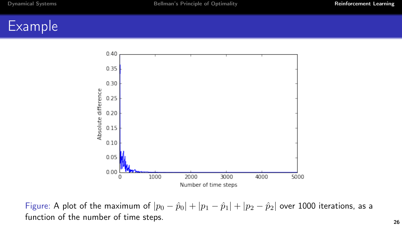

Figure: A plot of the maximum of  $|p_0 - \hat{p}_0| + |p_1 - \hat{p}_1| + |p_2 - \hat{p}_2|$  over 1000 iterations, as a function of the number of time steps.